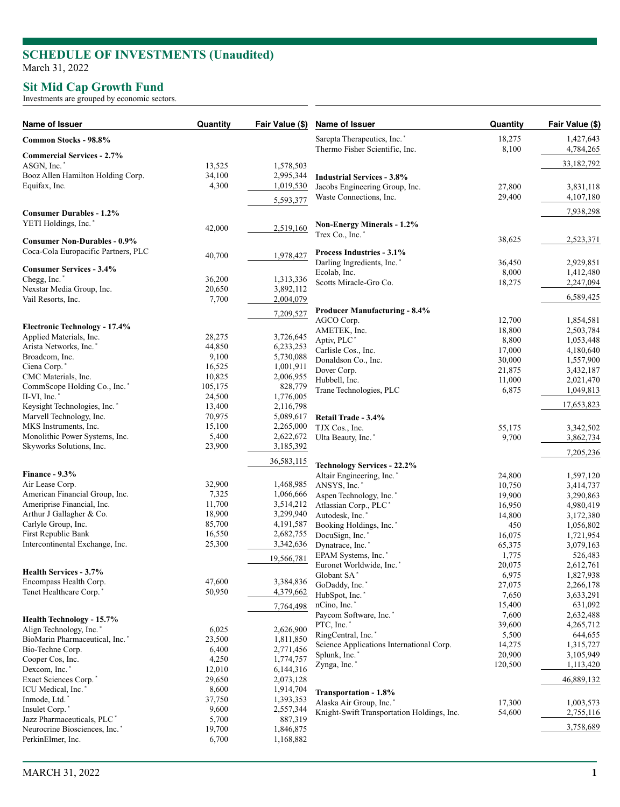## **SCHEDULE OF INVESTMENTS (Unaudited )** March 31, 2022

## **Sit Mid Cap Growth Fund**

Investments are grouped by economic sectors.

| Sarepta Therapeutics, Inc.<br>18,275<br>1,427,643<br>Common Stocks - 98.8%<br>Thermo Fisher Scientific, Inc.<br>8,100<br>4,784,265<br><b>Commercial Services - 2.7%</b><br>33,182,792<br>ASGN, Inc.*<br>13,525<br>1,578,503<br>Booz Allen Hamilton Holding Corp.<br>34,100<br>2,995,344<br><b>Industrial Services - 3.8%</b><br>Equifax, Inc.<br>4,300<br>1,019,530<br>Jacobs Engineering Group, Inc.<br>27,800<br>3,831,118<br>Waste Connections, Inc.<br>29,400<br>4,107,180<br>5,593,377<br>7,938,298<br><b>Consumer Durables - 1.2%</b><br>YETI Holdings, Inc.*<br><b>Non-Energy Minerals - 1.2%</b><br>42,000<br>2,519,160<br>Trex Co., Inc.*<br>2,523,371<br>38,625<br><b>Consumer Non-Durables - 0.9%</b><br>Coca-Cola Europacific Partners, PLC<br>Process Industries - 3.1%<br>40,700<br>1,978,427<br>Darling Ingredients, Inc. <sup>*</sup><br>36,450<br>2,929,851<br><b>Consumer Services - 3.4%</b><br>Ecolab, Inc.<br>8,000<br>1,412,480<br>Chegg, Inc.'<br>36,200<br>1,313,336<br>Scotts Miracle-Gro Co.<br>18,275<br>2,247,094<br>Nexstar Media Group, Inc.<br>20,650<br>3,892,112<br>6,589,425<br>Vail Resorts, Inc.<br>7,700<br>2,004,079<br><b>Producer Manufacturing - 8.4%</b><br>7,209,527<br>AGCO Corp.<br>12,700<br>1,854,581<br><b>Electronic Technology - 17.4%</b><br>AMETEK, Inc.<br>18,800<br>2,503,784<br>28,275<br>3,726,645<br>Applied Materials, Inc.<br>Aptiv, PLC <sup>*</sup><br>8,800<br>1,053,448<br>Arista Networks, Inc.*<br>44,850<br>6,233,253<br>Carlisle Cos., Inc.<br>17,000<br>4,180,640<br>Broadcom, Inc.<br>9,100<br>5,730,088<br>1,557,900<br>Donaldson Co., Inc.<br>30,000<br>Ciena Corp.*<br>16,525<br>1,001,911<br>Dover Corp.<br>21,875<br>3,432,187<br>10,825<br>CMC Materials, Inc.<br>2,006,955<br>Hubbell, Inc.<br>11,000<br>2,021,470<br>105,175<br>828,779<br>CommScope Holding Co., Inc. <sup>*</sup><br>1,049,813<br>Trane Technologies, PLC<br>6,875<br>II-VI, Inc.<br>24,500<br>1,776,005<br>17,653,823<br>Keysight Technologies, Inc.*<br>13,400<br>2,116,798<br>Marvell Technology, Inc.<br>70,975<br>5,089,617<br>Retail Trade - 3.4%<br>MKS Instruments, Inc.<br>15,100<br>2,265,000<br>TJX Cos., Inc.<br>55,175<br>3,342,502<br>5,400<br>2,622,672<br>Monolithic Power Systems, Inc.<br>Ulta Beauty, Inc.*<br>9,700<br>3,862,734<br>23,900<br>Skyworks Solutions, Inc.<br>3,185,392<br>7,205,236<br>36,583,115<br><b>Technology Services - 22.2%</b><br>Finance - $9.3\%$<br>Altair Engineering, Inc.'<br>1,597,120<br>24,800<br>Air Lease Corp.<br>32,900<br>1,468,985<br>ANSYS, Inc.*<br>10,750<br>3,414,737<br>American Financial Group, Inc.<br>7,325<br>1,066,666<br>Aspen Technology, Inc.*<br>19,900<br>3,290,863<br>11,700<br>Ameriprise Financial, Inc.<br>3,514,212<br>Atlassian Corp., PLC*<br>4,980,419<br>16,950<br>Arthur J Gallagher & Co.<br>18,900<br>3,299,940<br>Autodesk, Inc.<br>14,800<br>3,172,380<br>Carlyle Group, Inc.<br>85,700<br>4,191,587<br>Booking Holdings, Inc.*<br>450<br>1,056,802<br>First Republic Bank<br>16,550<br>2,682,755<br>DocuSign, Inc.<br>16,075<br>1,721,954<br>Intercontinental Exchange, Inc.<br>25,300<br>3,342,636<br>Dynatrace, Inc.*<br>65,375<br>3,079,163<br>EPAM Systems, Inc.*<br>1,775<br>526,483<br>19,566,781<br>Euronet Worldwide, Inc.*<br>20,075<br>2,612,761<br>Health Services - 3.7%<br>Globant SA*<br>6,975<br>1,827,938<br>3,384,836<br>47,600<br>Encompass Health Corp.<br>GoDaddy, Inc.<br>27,075<br>2,266,178<br>4,379,662<br>50,950<br>Tenet Healthcare Corp.<br>HubSpot, Inc.'<br>7,650<br>3,633,291<br>nCino, Inc.*<br>15,400<br>631,092<br>7,764,498<br>Paycom Software, Inc.*<br>7,600<br>2,632,488<br><b>Health Technology - 15.7%</b><br>PTC, Inc.*<br>39,600<br>4,265,712<br>Align Technology, Inc.<br>2,626,900<br>6,025<br>RingCentral, Inc.*<br>5,500<br>644,655<br>BioMarin Pharmaceutical, Inc. <sup>*</sup><br>23,500<br>1,811,850<br>Science Applications International Corp.<br>14,275<br>1,315,727<br>6,400<br>2,771,456<br>Bio-Techne Corp.<br>20,900<br>3,105,949<br>Splunk, Inc.*<br>4,250<br>Cooper Cos, Inc.<br>1,774,757<br>Zynga, Inc.*<br>120,500<br>1,113,420<br>12,010<br>Dexcom, Inc.*<br>6,144,316<br>2,073,128<br>46,889,132<br>Exact Sciences Corp.*<br>29,650<br>8,600<br>1,914,704<br>ICU Medical, Inc.'<br>Transportation - 1.8%<br>37,750<br>1,393,353<br>Inmode, Ltd.*<br>Alaska Air Group, Inc.<br>17,300<br>1,003,573<br>Insulet Corp.<br>9,600<br>2,557,344<br>Knight-Swift Transportation Holdings, Inc.<br>54,600<br>2,755,116<br>5,700<br>887,319<br>Jazz Pharmaceuticals, PLC*<br>3,758,689<br>19,700<br>Neurocrine Biosciences, Inc. <sup>*</sup><br>1,846,875<br>PerkinElmer, Inc.<br>6,700<br>1,168,882 | Name of Issuer | Quantity | Fair Value (\$) | Name of Issuer | Quantity | Fair Value (\$) |
|---------------------------------------------------------------------------------------------------------------------------------------------------------------------------------------------------------------------------------------------------------------------------------------------------------------------------------------------------------------------------------------------------------------------------------------------------------------------------------------------------------------------------------------------------------------------------------------------------------------------------------------------------------------------------------------------------------------------------------------------------------------------------------------------------------------------------------------------------------------------------------------------------------------------------------------------------------------------------------------------------------------------------------------------------------------------------------------------------------------------------------------------------------------------------------------------------------------------------------------------------------------------------------------------------------------------------------------------------------------------------------------------------------------------------------------------------------------------------------------------------------------------------------------------------------------------------------------------------------------------------------------------------------------------------------------------------------------------------------------------------------------------------------------------------------------------------------------------------------------------------------------------------------------------------------------------------------------------------------------------------------------------------------------------------------------------------------------------------------------------------------------------------------------------------------------------------------------------------------------------------------------------------------------------------------------------------------------------------------------------------------------------------------------------------------------------------------------------------------------------------------------------------------------------------------------------------------------------------------------------------------------------------------------------------------------------------------------------------------------------------------------------------------------------------------------------------------------------------------------------------------------------------------------------------------------------------------------------------------------------------------------------------------------------------------------------------------------------------------------------------------------------------------------------------------------------------------------------------------------------------------------------------------------------------------------------------------------------------------------------------------------------------------------------------------------------------------------------------------------------------------------------------------------------------------------------------------------------------------------------------------------------------------------------------------------------------------------------------------------------------------------------------------------------------------------------------------------------------------------------------------------------------------------------------------------------------------------------------------------------------------------------------------------------------------------------------------------------------------------------------------------------------------------------------------------------------------------------------------------------------------------------------------------------------------------------------------------------------------------------------------------------------------------------------------------------------------------------------------------------------------------------------------------------------------------------------------------------------------------------------------------------------------------------------------------------------|----------------|----------|-----------------|----------------|----------|-----------------|
|                                                                                                                                                                                                                                                                                                                                                                                                                                                                                                                                                                                                                                                                                                                                                                                                                                                                                                                                                                                                                                                                                                                                                                                                                                                                                                                                                                                                                                                                                                                                                                                                                                                                                                                                                                                                                                                                                                                                                                                                                                                                                                                                                                                                                                                                                                                                                                                                                                                                                                                                                                                                                                                                                                                                                                                                                                                                                                                                                                                                                                                                                                                                                                                                                                                                                                                                                                                                                                                                                                                                                                                                                                                                                                                                                                                                                                                                                                                                                                                                                                                                                                                                                                                                                                                                                                                                                                                                                                                                                                                                                                                                                                                                                                   |                |          |                 |                |          |                 |
|                                                                                                                                                                                                                                                                                                                                                                                                                                                                                                                                                                                                                                                                                                                                                                                                                                                                                                                                                                                                                                                                                                                                                                                                                                                                                                                                                                                                                                                                                                                                                                                                                                                                                                                                                                                                                                                                                                                                                                                                                                                                                                                                                                                                                                                                                                                                                                                                                                                                                                                                                                                                                                                                                                                                                                                                                                                                                                                                                                                                                                                                                                                                                                                                                                                                                                                                                                                                                                                                                                                                                                                                                                                                                                                                                                                                                                                                                                                                                                                                                                                                                                                                                                                                                                                                                                                                                                                                                                                                                                                                                                                                                                                                                                   |                |          |                 |                |          |                 |
|                                                                                                                                                                                                                                                                                                                                                                                                                                                                                                                                                                                                                                                                                                                                                                                                                                                                                                                                                                                                                                                                                                                                                                                                                                                                                                                                                                                                                                                                                                                                                                                                                                                                                                                                                                                                                                                                                                                                                                                                                                                                                                                                                                                                                                                                                                                                                                                                                                                                                                                                                                                                                                                                                                                                                                                                                                                                                                                                                                                                                                                                                                                                                                                                                                                                                                                                                                                                                                                                                                                                                                                                                                                                                                                                                                                                                                                                                                                                                                                                                                                                                                                                                                                                                                                                                                                                                                                                                                                                                                                                                                                                                                                                                                   |                |          |                 |                |          |                 |
|                                                                                                                                                                                                                                                                                                                                                                                                                                                                                                                                                                                                                                                                                                                                                                                                                                                                                                                                                                                                                                                                                                                                                                                                                                                                                                                                                                                                                                                                                                                                                                                                                                                                                                                                                                                                                                                                                                                                                                                                                                                                                                                                                                                                                                                                                                                                                                                                                                                                                                                                                                                                                                                                                                                                                                                                                                                                                                                                                                                                                                                                                                                                                                                                                                                                                                                                                                                                                                                                                                                                                                                                                                                                                                                                                                                                                                                                                                                                                                                                                                                                                                                                                                                                                                                                                                                                                                                                                                                                                                                                                                                                                                                                                                   |                |          |                 |                |          |                 |
|                                                                                                                                                                                                                                                                                                                                                                                                                                                                                                                                                                                                                                                                                                                                                                                                                                                                                                                                                                                                                                                                                                                                                                                                                                                                                                                                                                                                                                                                                                                                                                                                                                                                                                                                                                                                                                                                                                                                                                                                                                                                                                                                                                                                                                                                                                                                                                                                                                                                                                                                                                                                                                                                                                                                                                                                                                                                                                                                                                                                                                                                                                                                                                                                                                                                                                                                                                                                                                                                                                                                                                                                                                                                                                                                                                                                                                                                                                                                                                                                                                                                                                                                                                                                                                                                                                                                                                                                                                                                                                                                                                                                                                                                                                   |                |          |                 |                |          |                 |
|                                                                                                                                                                                                                                                                                                                                                                                                                                                                                                                                                                                                                                                                                                                                                                                                                                                                                                                                                                                                                                                                                                                                                                                                                                                                                                                                                                                                                                                                                                                                                                                                                                                                                                                                                                                                                                                                                                                                                                                                                                                                                                                                                                                                                                                                                                                                                                                                                                                                                                                                                                                                                                                                                                                                                                                                                                                                                                                                                                                                                                                                                                                                                                                                                                                                                                                                                                                                                                                                                                                                                                                                                                                                                                                                                                                                                                                                                                                                                                                                                                                                                                                                                                                                                                                                                                                                                                                                                                                                                                                                                                                                                                                                                                   |                |          |                 |                |          |                 |
|                                                                                                                                                                                                                                                                                                                                                                                                                                                                                                                                                                                                                                                                                                                                                                                                                                                                                                                                                                                                                                                                                                                                                                                                                                                                                                                                                                                                                                                                                                                                                                                                                                                                                                                                                                                                                                                                                                                                                                                                                                                                                                                                                                                                                                                                                                                                                                                                                                                                                                                                                                                                                                                                                                                                                                                                                                                                                                                                                                                                                                                                                                                                                                                                                                                                                                                                                                                                                                                                                                                                                                                                                                                                                                                                                                                                                                                                                                                                                                                                                                                                                                                                                                                                                                                                                                                                                                                                                                                                                                                                                                                                                                                                                                   |                |          |                 |                |          |                 |
|                                                                                                                                                                                                                                                                                                                                                                                                                                                                                                                                                                                                                                                                                                                                                                                                                                                                                                                                                                                                                                                                                                                                                                                                                                                                                                                                                                                                                                                                                                                                                                                                                                                                                                                                                                                                                                                                                                                                                                                                                                                                                                                                                                                                                                                                                                                                                                                                                                                                                                                                                                                                                                                                                                                                                                                                                                                                                                                                                                                                                                                                                                                                                                                                                                                                                                                                                                                                                                                                                                                                                                                                                                                                                                                                                                                                                                                                                                                                                                                                                                                                                                                                                                                                                                                                                                                                                                                                                                                                                                                                                                                                                                                                                                   |                |          |                 |                |          |                 |
|                                                                                                                                                                                                                                                                                                                                                                                                                                                                                                                                                                                                                                                                                                                                                                                                                                                                                                                                                                                                                                                                                                                                                                                                                                                                                                                                                                                                                                                                                                                                                                                                                                                                                                                                                                                                                                                                                                                                                                                                                                                                                                                                                                                                                                                                                                                                                                                                                                                                                                                                                                                                                                                                                                                                                                                                                                                                                                                                                                                                                                                                                                                                                                                                                                                                                                                                                                                                                                                                                                                                                                                                                                                                                                                                                                                                                                                                                                                                                                                                                                                                                                                                                                                                                                                                                                                                                                                                                                                                                                                                                                                                                                                                                                   |                |          |                 |                |          |                 |
|                                                                                                                                                                                                                                                                                                                                                                                                                                                                                                                                                                                                                                                                                                                                                                                                                                                                                                                                                                                                                                                                                                                                                                                                                                                                                                                                                                                                                                                                                                                                                                                                                                                                                                                                                                                                                                                                                                                                                                                                                                                                                                                                                                                                                                                                                                                                                                                                                                                                                                                                                                                                                                                                                                                                                                                                                                                                                                                                                                                                                                                                                                                                                                                                                                                                                                                                                                                                                                                                                                                                                                                                                                                                                                                                                                                                                                                                                                                                                                                                                                                                                                                                                                                                                                                                                                                                                                                                                                                                                                                                                                                                                                                                                                   |                |          |                 |                |          |                 |
|                                                                                                                                                                                                                                                                                                                                                                                                                                                                                                                                                                                                                                                                                                                                                                                                                                                                                                                                                                                                                                                                                                                                                                                                                                                                                                                                                                                                                                                                                                                                                                                                                                                                                                                                                                                                                                                                                                                                                                                                                                                                                                                                                                                                                                                                                                                                                                                                                                                                                                                                                                                                                                                                                                                                                                                                                                                                                                                                                                                                                                                                                                                                                                                                                                                                                                                                                                                                                                                                                                                                                                                                                                                                                                                                                                                                                                                                                                                                                                                                                                                                                                                                                                                                                                                                                                                                                                                                                                                                                                                                                                                                                                                                                                   |                |          |                 |                |          |                 |
|                                                                                                                                                                                                                                                                                                                                                                                                                                                                                                                                                                                                                                                                                                                                                                                                                                                                                                                                                                                                                                                                                                                                                                                                                                                                                                                                                                                                                                                                                                                                                                                                                                                                                                                                                                                                                                                                                                                                                                                                                                                                                                                                                                                                                                                                                                                                                                                                                                                                                                                                                                                                                                                                                                                                                                                                                                                                                                                                                                                                                                                                                                                                                                                                                                                                                                                                                                                                                                                                                                                                                                                                                                                                                                                                                                                                                                                                                                                                                                                                                                                                                                                                                                                                                                                                                                                                                                                                                                                                                                                                                                                                                                                                                                   |                |          |                 |                |          |                 |
|                                                                                                                                                                                                                                                                                                                                                                                                                                                                                                                                                                                                                                                                                                                                                                                                                                                                                                                                                                                                                                                                                                                                                                                                                                                                                                                                                                                                                                                                                                                                                                                                                                                                                                                                                                                                                                                                                                                                                                                                                                                                                                                                                                                                                                                                                                                                                                                                                                                                                                                                                                                                                                                                                                                                                                                                                                                                                                                                                                                                                                                                                                                                                                                                                                                                                                                                                                                                                                                                                                                                                                                                                                                                                                                                                                                                                                                                                                                                                                                                                                                                                                                                                                                                                                                                                                                                                                                                                                                                                                                                                                                                                                                                                                   |                |          |                 |                |          |                 |
|                                                                                                                                                                                                                                                                                                                                                                                                                                                                                                                                                                                                                                                                                                                                                                                                                                                                                                                                                                                                                                                                                                                                                                                                                                                                                                                                                                                                                                                                                                                                                                                                                                                                                                                                                                                                                                                                                                                                                                                                                                                                                                                                                                                                                                                                                                                                                                                                                                                                                                                                                                                                                                                                                                                                                                                                                                                                                                                                                                                                                                                                                                                                                                                                                                                                                                                                                                                                                                                                                                                                                                                                                                                                                                                                                                                                                                                                                                                                                                                                                                                                                                                                                                                                                                                                                                                                                                                                                                                                                                                                                                                                                                                                                                   |                |          |                 |                |          |                 |
|                                                                                                                                                                                                                                                                                                                                                                                                                                                                                                                                                                                                                                                                                                                                                                                                                                                                                                                                                                                                                                                                                                                                                                                                                                                                                                                                                                                                                                                                                                                                                                                                                                                                                                                                                                                                                                                                                                                                                                                                                                                                                                                                                                                                                                                                                                                                                                                                                                                                                                                                                                                                                                                                                                                                                                                                                                                                                                                                                                                                                                                                                                                                                                                                                                                                                                                                                                                                                                                                                                                                                                                                                                                                                                                                                                                                                                                                                                                                                                                                                                                                                                                                                                                                                                                                                                                                                                                                                                                                                                                                                                                                                                                                                                   |                |          |                 |                |          |                 |
|                                                                                                                                                                                                                                                                                                                                                                                                                                                                                                                                                                                                                                                                                                                                                                                                                                                                                                                                                                                                                                                                                                                                                                                                                                                                                                                                                                                                                                                                                                                                                                                                                                                                                                                                                                                                                                                                                                                                                                                                                                                                                                                                                                                                                                                                                                                                                                                                                                                                                                                                                                                                                                                                                                                                                                                                                                                                                                                                                                                                                                                                                                                                                                                                                                                                                                                                                                                                                                                                                                                                                                                                                                                                                                                                                                                                                                                                                                                                                                                                                                                                                                                                                                                                                                                                                                                                                                                                                                                                                                                                                                                                                                                                                                   |                |          |                 |                |          |                 |
|                                                                                                                                                                                                                                                                                                                                                                                                                                                                                                                                                                                                                                                                                                                                                                                                                                                                                                                                                                                                                                                                                                                                                                                                                                                                                                                                                                                                                                                                                                                                                                                                                                                                                                                                                                                                                                                                                                                                                                                                                                                                                                                                                                                                                                                                                                                                                                                                                                                                                                                                                                                                                                                                                                                                                                                                                                                                                                                                                                                                                                                                                                                                                                                                                                                                                                                                                                                                                                                                                                                                                                                                                                                                                                                                                                                                                                                                                                                                                                                                                                                                                                                                                                                                                                                                                                                                                                                                                                                                                                                                                                                                                                                                                                   |                |          |                 |                |          |                 |
|                                                                                                                                                                                                                                                                                                                                                                                                                                                                                                                                                                                                                                                                                                                                                                                                                                                                                                                                                                                                                                                                                                                                                                                                                                                                                                                                                                                                                                                                                                                                                                                                                                                                                                                                                                                                                                                                                                                                                                                                                                                                                                                                                                                                                                                                                                                                                                                                                                                                                                                                                                                                                                                                                                                                                                                                                                                                                                                                                                                                                                                                                                                                                                                                                                                                                                                                                                                                                                                                                                                                                                                                                                                                                                                                                                                                                                                                                                                                                                                                                                                                                                                                                                                                                                                                                                                                                                                                                                                                                                                                                                                                                                                                                                   |                |          |                 |                |          |                 |
|                                                                                                                                                                                                                                                                                                                                                                                                                                                                                                                                                                                                                                                                                                                                                                                                                                                                                                                                                                                                                                                                                                                                                                                                                                                                                                                                                                                                                                                                                                                                                                                                                                                                                                                                                                                                                                                                                                                                                                                                                                                                                                                                                                                                                                                                                                                                                                                                                                                                                                                                                                                                                                                                                                                                                                                                                                                                                                                                                                                                                                                                                                                                                                                                                                                                                                                                                                                                                                                                                                                                                                                                                                                                                                                                                                                                                                                                                                                                                                                                                                                                                                                                                                                                                                                                                                                                                                                                                                                                                                                                                                                                                                                                                                   |                |          |                 |                |          |                 |
|                                                                                                                                                                                                                                                                                                                                                                                                                                                                                                                                                                                                                                                                                                                                                                                                                                                                                                                                                                                                                                                                                                                                                                                                                                                                                                                                                                                                                                                                                                                                                                                                                                                                                                                                                                                                                                                                                                                                                                                                                                                                                                                                                                                                                                                                                                                                                                                                                                                                                                                                                                                                                                                                                                                                                                                                                                                                                                                                                                                                                                                                                                                                                                                                                                                                                                                                                                                                                                                                                                                                                                                                                                                                                                                                                                                                                                                                                                                                                                                                                                                                                                                                                                                                                                                                                                                                                                                                                                                                                                                                                                                                                                                                                                   |                |          |                 |                |          |                 |
|                                                                                                                                                                                                                                                                                                                                                                                                                                                                                                                                                                                                                                                                                                                                                                                                                                                                                                                                                                                                                                                                                                                                                                                                                                                                                                                                                                                                                                                                                                                                                                                                                                                                                                                                                                                                                                                                                                                                                                                                                                                                                                                                                                                                                                                                                                                                                                                                                                                                                                                                                                                                                                                                                                                                                                                                                                                                                                                                                                                                                                                                                                                                                                                                                                                                                                                                                                                                                                                                                                                                                                                                                                                                                                                                                                                                                                                                                                                                                                                                                                                                                                                                                                                                                                                                                                                                                                                                                                                                                                                                                                                                                                                                                                   |                |          |                 |                |          |                 |
|                                                                                                                                                                                                                                                                                                                                                                                                                                                                                                                                                                                                                                                                                                                                                                                                                                                                                                                                                                                                                                                                                                                                                                                                                                                                                                                                                                                                                                                                                                                                                                                                                                                                                                                                                                                                                                                                                                                                                                                                                                                                                                                                                                                                                                                                                                                                                                                                                                                                                                                                                                                                                                                                                                                                                                                                                                                                                                                                                                                                                                                                                                                                                                                                                                                                                                                                                                                                                                                                                                                                                                                                                                                                                                                                                                                                                                                                                                                                                                                                                                                                                                                                                                                                                                                                                                                                                                                                                                                                                                                                                                                                                                                                                                   |                |          |                 |                |          |                 |
|                                                                                                                                                                                                                                                                                                                                                                                                                                                                                                                                                                                                                                                                                                                                                                                                                                                                                                                                                                                                                                                                                                                                                                                                                                                                                                                                                                                                                                                                                                                                                                                                                                                                                                                                                                                                                                                                                                                                                                                                                                                                                                                                                                                                                                                                                                                                                                                                                                                                                                                                                                                                                                                                                                                                                                                                                                                                                                                                                                                                                                                                                                                                                                                                                                                                                                                                                                                                                                                                                                                                                                                                                                                                                                                                                                                                                                                                                                                                                                                                                                                                                                                                                                                                                                                                                                                                                                                                                                                                                                                                                                                                                                                                                                   |                |          |                 |                |          |                 |
|                                                                                                                                                                                                                                                                                                                                                                                                                                                                                                                                                                                                                                                                                                                                                                                                                                                                                                                                                                                                                                                                                                                                                                                                                                                                                                                                                                                                                                                                                                                                                                                                                                                                                                                                                                                                                                                                                                                                                                                                                                                                                                                                                                                                                                                                                                                                                                                                                                                                                                                                                                                                                                                                                                                                                                                                                                                                                                                                                                                                                                                                                                                                                                                                                                                                                                                                                                                                                                                                                                                                                                                                                                                                                                                                                                                                                                                                                                                                                                                                                                                                                                                                                                                                                                                                                                                                                                                                                                                                                                                                                                                                                                                                                                   |                |          |                 |                |          |                 |
|                                                                                                                                                                                                                                                                                                                                                                                                                                                                                                                                                                                                                                                                                                                                                                                                                                                                                                                                                                                                                                                                                                                                                                                                                                                                                                                                                                                                                                                                                                                                                                                                                                                                                                                                                                                                                                                                                                                                                                                                                                                                                                                                                                                                                                                                                                                                                                                                                                                                                                                                                                                                                                                                                                                                                                                                                                                                                                                                                                                                                                                                                                                                                                                                                                                                                                                                                                                                                                                                                                                                                                                                                                                                                                                                                                                                                                                                                                                                                                                                                                                                                                                                                                                                                                                                                                                                                                                                                                                                                                                                                                                                                                                                                                   |                |          |                 |                |          |                 |
|                                                                                                                                                                                                                                                                                                                                                                                                                                                                                                                                                                                                                                                                                                                                                                                                                                                                                                                                                                                                                                                                                                                                                                                                                                                                                                                                                                                                                                                                                                                                                                                                                                                                                                                                                                                                                                                                                                                                                                                                                                                                                                                                                                                                                                                                                                                                                                                                                                                                                                                                                                                                                                                                                                                                                                                                                                                                                                                                                                                                                                                                                                                                                                                                                                                                                                                                                                                                                                                                                                                                                                                                                                                                                                                                                                                                                                                                                                                                                                                                                                                                                                                                                                                                                                                                                                                                                                                                                                                                                                                                                                                                                                                                                                   |                |          |                 |                |          |                 |
|                                                                                                                                                                                                                                                                                                                                                                                                                                                                                                                                                                                                                                                                                                                                                                                                                                                                                                                                                                                                                                                                                                                                                                                                                                                                                                                                                                                                                                                                                                                                                                                                                                                                                                                                                                                                                                                                                                                                                                                                                                                                                                                                                                                                                                                                                                                                                                                                                                                                                                                                                                                                                                                                                                                                                                                                                                                                                                                                                                                                                                                                                                                                                                                                                                                                                                                                                                                                                                                                                                                                                                                                                                                                                                                                                                                                                                                                                                                                                                                                                                                                                                                                                                                                                                                                                                                                                                                                                                                                                                                                                                                                                                                                                                   |                |          |                 |                |          |                 |
|                                                                                                                                                                                                                                                                                                                                                                                                                                                                                                                                                                                                                                                                                                                                                                                                                                                                                                                                                                                                                                                                                                                                                                                                                                                                                                                                                                                                                                                                                                                                                                                                                                                                                                                                                                                                                                                                                                                                                                                                                                                                                                                                                                                                                                                                                                                                                                                                                                                                                                                                                                                                                                                                                                                                                                                                                                                                                                                                                                                                                                                                                                                                                                                                                                                                                                                                                                                                                                                                                                                                                                                                                                                                                                                                                                                                                                                                                                                                                                                                                                                                                                                                                                                                                                                                                                                                                                                                                                                                                                                                                                                                                                                                                                   |                |          |                 |                |          |                 |
|                                                                                                                                                                                                                                                                                                                                                                                                                                                                                                                                                                                                                                                                                                                                                                                                                                                                                                                                                                                                                                                                                                                                                                                                                                                                                                                                                                                                                                                                                                                                                                                                                                                                                                                                                                                                                                                                                                                                                                                                                                                                                                                                                                                                                                                                                                                                                                                                                                                                                                                                                                                                                                                                                                                                                                                                                                                                                                                                                                                                                                                                                                                                                                                                                                                                                                                                                                                                                                                                                                                                                                                                                                                                                                                                                                                                                                                                                                                                                                                                                                                                                                                                                                                                                                                                                                                                                                                                                                                                                                                                                                                                                                                                                                   |                |          |                 |                |          |                 |
|                                                                                                                                                                                                                                                                                                                                                                                                                                                                                                                                                                                                                                                                                                                                                                                                                                                                                                                                                                                                                                                                                                                                                                                                                                                                                                                                                                                                                                                                                                                                                                                                                                                                                                                                                                                                                                                                                                                                                                                                                                                                                                                                                                                                                                                                                                                                                                                                                                                                                                                                                                                                                                                                                                                                                                                                                                                                                                                                                                                                                                                                                                                                                                                                                                                                                                                                                                                                                                                                                                                                                                                                                                                                                                                                                                                                                                                                                                                                                                                                                                                                                                                                                                                                                                                                                                                                                                                                                                                                                                                                                                                                                                                                                                   |                |          |                 |                |          |                 |
|                                                                                                                                                                                                                                                                                                                                                                                                                                                                                                                                                                                                                                                                                                                                                                                                                                                                                                                                                                                                                                                                                                                                                                                                                                                                                                                                                                                                                                                                                                                                                                                                                                                                                                                                                                                                                                                                                                                                                                                                                                                                                                                                                                                                                                                                                                                                                                                                                                                                                                                                                                                                                                                                                                                                                                                                                                                                                                                                                                                                                                                                                                                                                                                                                                                                                                                                                                                                                                                                                                                                                                                                                                                                                                                                                                                                                                                                                                                                                                                                                                                                                                                                                                                                                                                                                                                                                                                                                                                                                                                                                                                                                                                                                                   |                |          |                 |                |          |                 |
|                                                                                                                                                                                                                                                                                                                                                                                                                                                                                                                                                                                                                                                                                                                                                                                                                                                                                                                                                                                                                                                                                                                                                                                                                                                                                                                                                                                                                                                                                                                                                                                                                                                                                                                                                                                                                                                                                                                                                                                                                                                                                                                                                                                                                                                                                                                                                                                                                                                                                                                                                                                                                                                                                                                                                                                                                                                                                                                                                                                                                                                                                                                                                                                                                                                                                                                                                                                                                                                                                                                                                                                                                                                                                                                                                                                                                                                                                                                                                                                                                                                                                                                                                                                                                                                                                                                                                                                                                                                                                                                                                                                                                                                                                                   |                |          |                 |                |          |                 |
|                                                                                                                                                                                                                                                                                                                                                                                                                                                                                                                                                                                                                                                                                                                                                                                                                                                                                                                                                                                                                                                                                                                                                                                                                                                                                                                                                                                                                                                                                                                                                                                                                                                                                                                                                                                                                                                                                                                                                                                                                                                                                                                                                                                                                                                                                                                                                                                                                                                                                                                                                                                                                                                                                                                                                                                                                                                                                                                                                                                                                                                                                                                                                                                                                                                                                                                                                                                                                                                                                                                                                                                                                                                                                                                                                                                                                                                                                                                                                                                                                                                                                                                                                                                                                                                                                                                                                                                                                                                                                                                                                                                                                                                                                                   |                |          |                 |                |          |                 |
|                                                                                                                                                                                                                                                                                                                                                                                                                                                                                                                                                                                                                                                                                                                                                                                                                                                                                                                                                                                                                                                                                                                                                                                                                                                                                                                                                                                                                                                                                                                                                                                                                                                                                                                                                                                                                                                                                                                                                                                                                                                                                                                                                                                                                                                                                                                                                                                                                                                                                                                                                                                                                                                                                                                                                                                                                                                                                                                                                                                                                                                                                                                                                                                                                                                                                                                                                                                                                                                                                                                                                                                                                                                                                                                                                                                                                                                                                                                                                                                                                                                                                                                                                                                                                                                                                                                                                                                                                                                                                                                                                                                                                                                                                                   |                |          |                 |                |          |                 |
|                                                                                                                                                                                                                                                                                                                                                                                                                                                                                                                                                                                                                                                                                                                                                                                                                                                                                                                                                                                                                                                                                                                                                                                                                                                                                                                                                                                                                                                                                                                                                                                                                                                                                                                                                                                                                                                                                                                                                                                                                                                                                                                                                                                                                                                                                                                                                                                                                                                                                                                                                                                                                                                                                                                                                                                                                                                                                                                                                                                                                                                                                                                                                                                                                                                                                                                                                                                                                                                                                                                                                                                                                                                                                                                                                                                                                                                                                                                                                                                                                                                                                                                                                                                                                                                                                                                                                                                                                                                                                                                                                                                                                                                                                                   |                |          |                 |                |          |                 |
|                                                                                                                                                                                                                                                                                                                                                                                                                                                                                                                                                                                                                                                                                                                                                                                                                                                                                                                                                                                                                                                                                                                                                                                                                                                                                                                                                                                                                                                                                                                                                                                                                                                                                                                                                                                                                                                                                                                                                                                                                                                                                                                                                                                                                                                                                                                                                                                                                                                                                                                                                                                                                                                                                                                                                                                                                                                                                                                                                                                                                                                                                                                                                                                                                                                                                                                                                                                                                                                                                                                                                                                                                                                                                                                                                                                                                                                                                                                                                                                                                                                                                                                                                                                                                                                                                                                                                                                                                                                                                                                                                                                                                                                                                                   |                |          |                 |                |          |                 |
|                                                                                                                                                                                                                                                                                                                                                                                                                                                                                                                                                                                                                                                                                                                                                                                                                                                                                                                                                                                                                                                                                                                                                                                                                                                                                                                                                                                                                                                                                                                                                                                                                                                                                                                                                                                                                                                                                                                                                                                                                                                                                                                                                                                                                                                                                                                                                                                                                                                                                                                                                                                                                                                                                                                                                                                                                                                                                                                                                                                                                                                                                                                                                                                                                                                                                                                                                                                                                                                                                                                                                                                                                                                                                                                                                                                                                                                                                                                                                                                                                                                                                                                                                                                                                                                                                                                                                                                                                                                                                                                                                                                                                                                                                                   |                |          |                 |                |          |                 |
|                                                                                                                                                                                                                                                                                                                                                                                                                                                                                                                                                                                                                                                                                                                                                                                                                                                                                                                                                                                                                                                                                                                                                                                                                                                                                                                                                                                                                                                                                                                                                                                                                                                                                                                                                                                                                                                                                                                                                                                                                                                                                                                                                                                                                                                                                                                                                                                                                                                                                                                                                                                                                                                                                                                                                                                                                                                                                                                                                                                                                                                                                                                                                                                                                                                                                                                                                                                                                                                                                                                                                                                                                                                                                                                                                                                                                                                                                                                                                                                                                                                                                                                                                                                                                                                                                                                                                                                                                                                                                                                                                                                                                                                                                                   |                |          |                 |                |          |                 |
|                                                                                                                                                                                                                                                                                                                                                                                                                                                                                                                                                                                                                                                                                                                                                                                                                                                                                                                                                                                                                                                                                                                                                                                                                                                                                                                                                                                                                                                                                                                                                                                                                                                                                                                                                                                                                                                                                                                                                                                                                                                                                                                                                                                                                                                                                                                                                                                                                                                                                                                                                                                                                                                                                                                                                                                                                                                                                                                                                                                                                                                                                                                                                                                                                                                                                                                                                                                                                                                                                                                                                                                                                                                                                                                                                                                                                                                                                                                                                                                                                                                                                                                                                                                                                                                                                                                                                                                                                                                                                                                                                                                                                                                                                                   |                |          |                 |                |          |                 |
|                                                                                                                                                                                                                                                                                                                                                                                                                                                                                                                                                                                                                                                                                                                                                                                                                                                                                                                                                                                                                                                                                                                                                                                                                                                                                                                                                                                                                                                                                                                                                                                                                                                                                                                                                                                                                                                                                                                                                                                                                                                                                                                                                                                                                                                                                                                                                                                                                                                                                                                                                                                                                                                                                                                                                                                                                                                                                                                                                                                                                                                                                                                                                                                                                                                                                                                                                                                                                                                                                                                                                                                                                                                                                                                                                                                                                                                                                                                                                                                                                                                                                                                                                                                                                                                                                                                                                                                                                                                                                                                                                                                                                                                                                                   |                |          |                 |                |          |                 |
|                                                                                                                                                                                                                                                                                                                                                                                                                                                                                                                                                                                                                                                                                                                                                                                                                                                                                                                                                                                                                                                                                                                                                                                                                                                                                                                                                                                                                                                                                                                                                                                                                                                                                                                                                                                                                                                                                                                                                                                                                                                                                                                                                                                                                                                                                                                                                                                                                                                                                                                                                                                                                                                                                                                                                                                                                                                                                                                                                                                                                                                                                                                                                                                                                                                                                                                                                                                                                                                                                                                                                                                                                                                                                                                                                                                                                                                                                                                                                                                                                                                                                                                                                                                                                                                                                                                                                                                                                                                                                                                                                                                                                                                                                                   |                |          |                 |                |          |                 |
|                                                                                                                                                                                                                                                                                                                                                                                                                                                                                                                                                                                                                                                                                                                                                                                                                                                                                                                                                                                                                                                                                                                                                                                                                                                                                                                                                                                                                                                                                                                                                                                                                                                                                                                                                                                                                                                                                                                                                                                                                                                                                                                                                                                                                                                                                                                                                                                                                                                                                                                                                                                                                                                                                                                                                                                                                                                                                                                                                                                                                                                                                                                                                                                                                                                                                                                                                                                                                                                                                                                                                                                                                                                                                                                                                                                                                                                                                                                                                                                                                                                                                                                                                                                                                                                                                                                                                                                                                                                                                                                                                                                                                                                                                                   |                |          |                 |                |          |                 |
|                                                                                                                                                                                                                                                                                                                                                                                                                                                                                                                                                                                                                                                                                                                                                                                                                                                                                                                                                                                                                                                                                                                                                                                                                                                                                                                                                                                                                                                                                                                                                                                                                                                                                                                                                                                                                                                                                                                                                                                                                                                                                                                                                                                                                                                                                                                                                                                                                                                                                                                                                                                                                                                                                                                                                                                                                                                                                                                                                                                                                                                                                                                                                                                                                                                                                                                                                                                                                                                                                                                                                                                                                                                                                                                                                                                                                                                                                                                                                                                                                                                                                                                                                                                                                                                                                                                                                                                                                                                                                                                                                                                                                                                                                                   |                |          |                 |                |          |                 |
|                                                                                                                                                                                                                                                                                                                                                                                                                                                                                                                                                                                                                                                                                                                                                                                                                                                                                                                                                                                                                                                                                                                                                                                                                                                                                                                                                                                                                                                                                                                                                                                                                                                                                                                                                                                                                                                                                                                                                                                                                                                                                                                                                                                                                                                                                                                                                                                                                                                                                                                                                                                                                                                                                                                                                                                                                                                                                                                                                                                                                                                                                                                                                                                                                                                                                                                                                                                                                                                                                                                                                                                                                                                                                                                                                                                                                                                                                                                                                                                                                                                                                                                                                                                                                                                                                                                                                                                                                                                                                                                                                                                                                                                                                                   |                |          |                 |                |          |                 |
|                                                                                                                                                                                                                                                                                                                                                                                                                                                                                                                                                                                                                                                                                                                                                                                                                                                                                                                                                                                                                                                                                                                                                                                                                                                                                                                                                                                                                                                                                                                                                                                                                                                                                                                                                                                                                                                                                                                                                                                                                                                                                                                                                                                                                                                                                                                                                                                                                                                                                                                                                                                                                                                                                                                                                                                                                                                                                                                                                                                                                                                                                                                                                                                                                                                                                                                                                                                                                                                                                                                                                                                                                                                                                                                                                                                                                                                                                                                                                                                                                                                                                                                                                                                                                                                                                                                                                                                                                                                                                                                                                                                                                                                                                                   |                |          |                 |                |          |                 |
|                                                                                                                                                                                                                                                                                                                                                                                                                                                                                                                                                                                                                                                                                                                                                                                                                                                                                                                                                                                                                                                                                                                                                                                                                                                                                                                                                                                                                                                                                                                                                                                                                                                                                                                                                                                                                                                                                                                                                                                                                                                                                                                                                                                                                                                                                                                                                                                                                                                                                                                                                                                                                                                                                                                                                                                                                                                                                                                                                                                                                                                                                                                                                                                                                                                                                                                                                                                                                                                                                                                                                                                                                                                                                                                                                                                                                                                                                                                                                                                                                                                                                                                                                                                                                                                                                                                                                                                                                                                                                                                                                                                                                                                                                                   |                |          |                 |                |          |                 |
|                                                                                                                                                                                                                                                                                                                                                                                                                                                                                                                                                                                                                                                                                                                                                                                                                                                                                                                                                                                                                                                                                                                                                                                                                                                                                                                                                                                                                                                                                                                                                                                                                                                                                                                                                                                                                                                                                                                                                                                                                                                                                                                                                                                                                                                                                                                                                                                                                                                                                                                                                                                                                                                                                                                                                                                                                                                                                                                                                                                                                                                                                                                                                                                                                                                                                                                                                                                                                                                                                                                                                                                                                                                                                                                                                                                                                                                                                                                                                                                                                                                                                                                                                                                                                                                                                                                                                                                                                                                                                                                                                                                                                                                                                                   |                |          |                 |                |          |                 |
|                                                                                                                                                                                                                                                                                                                                                                                                                                                                                                                                                                                                                                                                                                                                                                                                                                                                                                                                                                                                                                                                                                                                                                                                                                                                                                                                                                                                                                                                                                                                                                                                                                                                                                                                                                                                                                                                                                                                                                                                                                                                                                                                                                                                                                                                                                                                                                                                                                                                                                                                                                                                                                                                                                                                                                                                                                                                                                                                                                                                                                                                                                                                                                                                                                                                                                                                                                                                                                                                                                                                                                                                                                                                                                                                                                                                                                                                                                                                                                                                                                                                                                                                                                                                                                                                                                                                                                                                                                                                                                                                                                                                                                                                                                   |                |          |                 |                |          |                 |
|                                                                                                                                                                                                                                                                                                                                                                                                                                                                                                                                                                                                                                                                                                                                                                                                                                                                                                                                                                                                                                                                                                                                                                                                                                                                                                                                                                                                                                                                                                                                                                                                                                                                                                                                                                                                                                                                                                                                                                                                                                                                                                                                                                                                                                                                                                                                                                                                                                                                                                                                                                                                                                                                                                                                                                                                                                                                                                                                                                                                                                                                                                                                                                                                                                                                                                                                                                                                                                                                                                                                                                                                                                                                                                                                                                                                                                                                                                                                                                                                                                                                                                                                                                                                                                                                                                                                                                                                                                                                                                                                                                                                                                                                                                   |                |          |                 |                |          |                 |
|                                                                                                                                                                                                                                                                                                                                                                                                                                                                                                                                                                                                                                                                                                                                                                                                                                                                                                                                                                                                                                                                                                                                                                                                                                                                                                                                                                                                                                                                                                                                                                                                                                                                                                                                                                                                                                                                                                                                                                                                                                                                                                                                                                                                                                                                                                                                                                                                                                                                                                                                                                                                                                                                                                                                                                                                                                                                                                                                                                                                                                                                                                                                                                                                                                                                                                                                                                                                                                                                                                                                                                                                                                                                                                                                                                                                                                                                                                                                                                                                                                                                                                                                                                                                                                                                                                                                                                                                                                                                                                                                                                                                                                                                                                   |                |          |                 |                |          |                 |
|                                                                                                                                                                                                                                                                                                                                                                                                                                                                                                                                                                                                                                                                                                                                                                                                                                                                                                                                                                                                                                                                                                                                                                                                                                                                                                                                                                                                                                                                                                                                                                                                                                                                                                                                                                                                                                                                                                                                                                                                                                                                                                                                                                                                                                                                                                                                                                                                                                                                                                                                                                                                                                                                                                                                                                                                                                                                                                                                                                                                                                                                                                                                                                                                                                                                                                                                                                                                                                                                                                                                                                                                                                                                                                                                                                                                                                                                                                                                                                                                                                                                                                                                                                                                                                                                                                                                                                                                                                                                                                                                                                                                                                                                                                   |                |          |                 |                |          |                 |
|                                                                                                                                                                                                                                                                                                                                                                                                                                                                                                                                                                                                                                                                                                                                                                                                                                                                                                                                                                                                                                                                                                                                                                                                                                                                                                                                                                                                                                                                                                                                                                                                                                                                                                                                                                                                                                                                                                                                                                                                                                                                                                                                                                                                                                                                                                                                                                                                                                                                                                                                                                                                                                                                                                                                                                                                                                                                                                                                                                                                                                                                                                                                                                                                                                                                                                                                                                                                                                                                                                                                                                                                                                                                                                                                                                                                                                                                                                                                                                                                                                                                                                                                                                                                                                                                                                                                                                                                                                                                                                                                                                                                                                                                                                   |                |          |                 |                |          |                 |
|                                                                                                                                                                                                                                                                                                                                                                                                                                                                                                                                                                                                                                                                                                                                                                                                                                                                                                                                                                                                                                                                                                                                                                                                                                                                                                                                                                                                                                                                                                                                                                                                                                                                                                                                                                                                                                                                                                                                                                                                                                                                                                                                                                                                                                                                                                                                                                                                                                                                                                                                                                                                                                                                                                                                                                                                                                                                                                                                                                                                                                                                                                                                                                                                                                                                                                                                                                                                                                                                                                                                                                                                                                                                                                                                                                                                                                                                                                                                                                                                                                                                                                                                                                                                                                                                                                                                                                                                                                                                                                                                                                                                                                                                                                   |                |          |                 |                |          |                 |
|                                                                                                                                                                                                                                                                                                                                                                                                                                                                                                                                                                                                                                                                                                                                                                                                                                                                                                                                                                                                                                                                                                                                                                                                                                                                                                                                                                                                                                                                                                                                                                                                                                                                                                                                                                                                                                                                                                                                                                                                                                                                                                                                                                                                                                                                                                                                                                                                                                                                                                                                                                                                                                                                                                                                                                                                                                                                                                                                                                                                                                                                                                                                                                                                                                                                                                                                                                                                                                                                                                                                                                                                                                                                                                                                                                                                                                                                                                                                                                                                                                                                                                                                                                                                                                                                                                                                                                                                                                                                                                                                                                                                                                                                                                   |                |          |                 |                |          |                 |
|                                                                                                                                                                                                                                                                                                                                                                                                                                                                                                                                                                                                                                                                                                                                                                                                                                                                                                                                                                                                                                                                                                                                                                                                                                                                                                                                                                                                                                                                                                                                                                                                                                                                                                                                                                                                                                                                                                                                                                                                                                                                                                                                                                                                                                                                                                                                                                                                                                                                                                                                                                                                                                                                                                                                                                                                                                                                                                                                                                                                                                                                                                                                                                                                                                                                                                                                                                                                                                                                                                                                                                                                                                                                                                                                                                                                                                                                                                                                                                                                                                                                                                                                                                                                                                                                                                                                                                                                                                                                                                                                                                                                                                                                                                   |                |          |                 |                |          |                 |
|                                                                                                                                                                                                                                                                                                                                                                                                                                                                                                                                                                                                                                                                                                                                                                                                                                                                                                                                                                                                                                                                                                                                                                                                                                                                                                                                                                                                                                                                                                                                                                                                                                                                                                                                                                                                                                                                                                                                                                                                                                                                                                                                                                                                                                                                                                                                                                                                                                                                                                                                                                                                                                                                                                                                                                                                                                                                                                                                                                                                                                                                                                                                                                                                                                                                                                                                                                                                                                                                                                                                                                                                                                                                                                                                                                                                                                                                                                                                                                                                                                                                                                                                                                                                                                                                                                                                                                                                                                                                                                                                                                                                                                                                                                   |                |          |                 |                |          |                 |
|                                                                                                                                                                                                                                                                                                                                                                                                                                                                                                                                                                                                                                                                                                                                                                                                                                                                                                                                                                                                                                                                                                                                                                                                                                                                                                                                                                                                                                                                                                                                                                                                                                                                                                                                                                                                                                                                                                                                                                                                                                                                                                                                                                                                                                                                                                                                                                                                                                                                                                                                                                                                                                                                                                                                                                                                                                                                                                                                                                                                                                                                                                                                                                                                                                                                                                                                                                                                                                                                                                                                                                                                                                                                                                                                                                                                                                                                                                                                                                                                                                                                                                                                                                                                                                                                                                                                                                                                                                                                                                                                                                                                                                                                                                   |                |          |                 |                |          |                 |
|                                                                                                                                                                                                                                                                                                                                                                                                                                                                                                                                                                                                                                                                                                                                                                                                                                                                                                                                                                                                                                                                                                                                                                                                                                                                                                                                                                                                                                                                                                                                                                                                                                                                                                                                                                                                                                                                                                                                                                                                                                                                                                                                                                                                                                                                                                                                                                                                                                                                                                                                                                                                                                                                                                                                                                                                                                                                                                                                                                                                                                                                                                                                                                                                                                                                                                                                                                                                                                                                                                                                                                                                                                                                                                                                                                                                                                                                                                                                                                                                                                                                                                                                                                                                                                                                                                                                                                                                                                                                                                                                                                                                                                                                                                   |                |          |                 |                |          |                 |